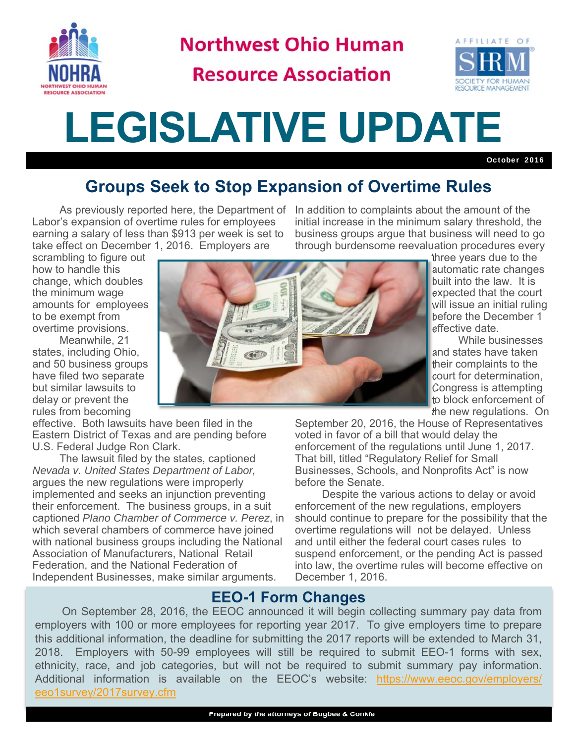

**Northwest Ohio Human** 

## **Resource Association**



# **LEGISLATIVE UPDATE**

October 2016

### **Groups Seek to Stop Expansion of Overtime Rules**

 As previously reported here, the Department of In addition to complaints about the amount of the Labor's expansion of overtime rules for employees earning a salary of less than \$913 per week is set to take effect on December 1, 2016. Employers are

initial increase in the minimum salary threshold, the business groups argue that business will need to go through burdensome reevaluation procedures every

scrambling to figure out how to handle this change, which doubles the minimum wage amounts for employees to be exempt from overtime provisions.

 Meanwhile, 21 states, including Ohio, and 50 business groups have filed two separate but similar lawsuits to delay or prevent the rules from becoming

effective. Both lawsuits have been filed in the Eastern District of Texas and are pending before U.S. Federal Judge Ron Clark.

 The lawsuit filed by the states, captioned *Nevada v. United States Department of Labor,* argues the new regulations were improperly implemented and seeks an injunction preventing their enforcement. The business groups, in a suit captioned *Plano Chamber of Commerce v. Perez*, in which several chambers of commerce have joined with national business groups including the National Association of Manufacturers, National Retail Federation, and the National Federation of Independent Businesses, make similar arguments.



three years due to the automatic rate changes built into the law. It is expected that the court will issue an initial ruling before the December 1 effective date.

 While businesses and states have taken their complaints to the court for determination, Congress is attempting to block enforcement of the new regulations. On

September 20, 2016, the House of Representatives voted in favor of a bill that would delay the enforcement of the regulations until June 1, 2017. That bill, titled "Regulatory Relief for Small Businesses, Schools, and Nonprofits Act" is now before the Senate.

 Despite the various actions to delay or avoid enforcement of the new regulations, employers should continue to prepare for the possibility that the overtime regulations will not be delayed. Unless and until either the federal court cases rules to suspend enforcement, or the pending Act is passed into law, the overtime rules will become effective on December 1, 2016.

#### **EEO-1 Form Changes**

 On September 28, 2016, the EEOC announced it will begin collecting summary pay data from employers with 100 or more employees for reporting year 2017. To give employers time to prepare this additional information, the deadline for submitting the 2017 reports will be extended to March 31, 2018. Employers with 50-99 employees will still be required to submit EEO-1 forms with sex, ethnicity, race, and job categories, but will not be required to submit summary pay information. Additional information is available on the EEOC's website: https://www.eeoc.gov/employers/ eeo1survey/2017survey.cfm